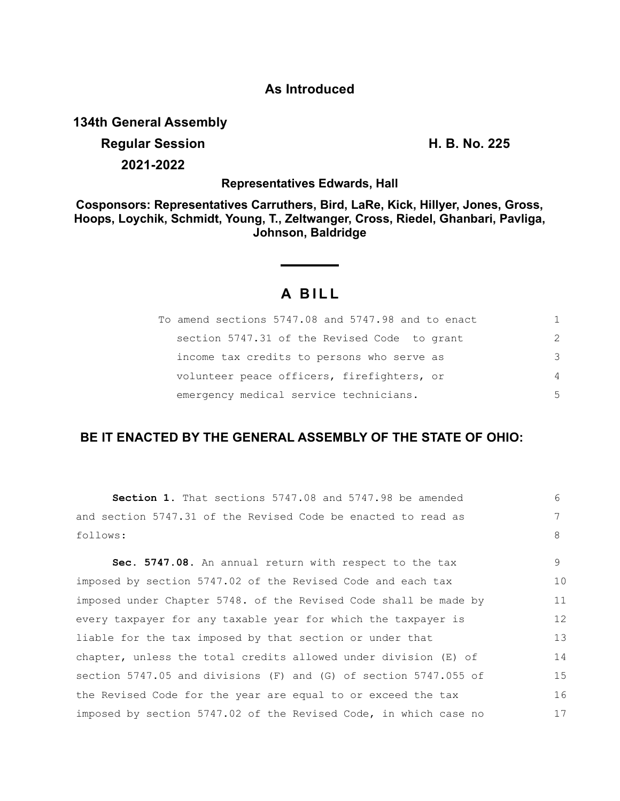## **As Introduced**

**134th General Assembly**

**Regular Session H. B. No. 225 2021-2022**

**Representatives Edwards, Hall**

**Cosponsors: Representatives Carruthers, Bird, LaRe, Kick, Hillyer, Jones, Gross, Hoops, Loychik, Schmidt, Young, T., Zeltwanger, Cross, Riedel, Ghanbari, Pavliga, Johnson, Baldridge**

# **A BILL**

| To amend sections 5747.08 and 5747.98 and to enact | 1.             |
|----------------------------------------------------|----------------|
| section 5747.31 of the Revised Code to grant       | $\mathcal{P}$  |
| income tax credits to persons who serve as         | 3              |
| volunteer peace officers, firefighters, or         | $\overline{4}$ |
| emergency medical service technicians.             | .5             |

## **BE IT ENACTED BY THE GENERAL ASSEMBLY OF THE STATE OF OHIO:**

**Section 1.** That sections 5747.08 and 5747.98 be amended and section 5747.31 of the Revised Code be enacted to read as follows: **Sec. 5747.08.** An annual return with respect to the tax imposed by section 5747.02 of the Revised Code and each tax imposed under Chapter 5748. of the Revised Code shall be made by every taxpayer for any taxable year for which the taxpayer is liable for the tax imposed by that section or under that chapter, unless the total credits allowed under division (E) of section 5747.05 and divisions (F) and (G) of section 5747.055 of the Revised Code for the year are equal to or exceed the tax imposed by section 5747.02 of the Revised Code, in which case no 6 7 8 9 10 11 12 13 14 15 16 17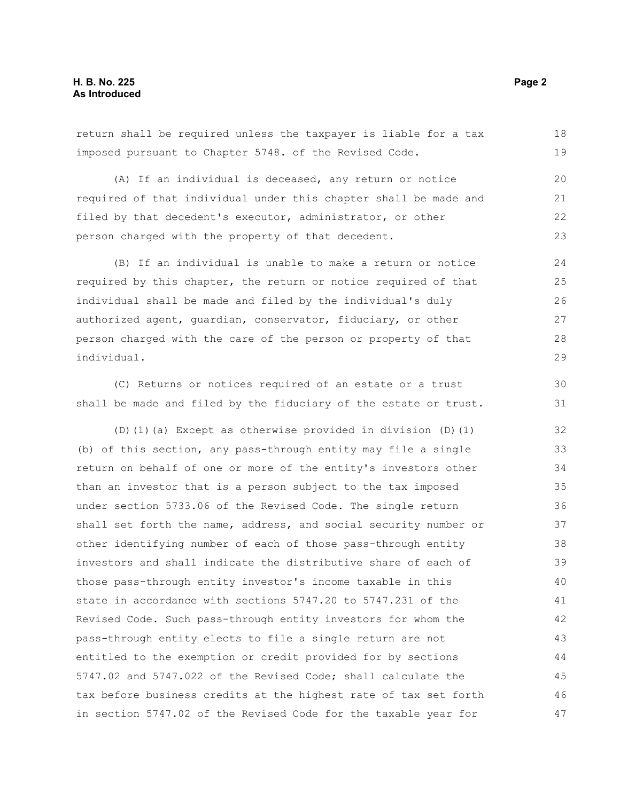return shall be required unless the taxpayer is liable for a tax imposed pursuant to Chapter 5748. of the Revised Code. 18 19

(A) If an individual is deceased, any return or notice required of that individual under this chapter shall be made and filed by that decedent's executor, administrator, or other person charged with the property of that decedent. 20 21

(B) If an individual is unable to make a return or notice required by this chapter, the return or notice required of that individual shall be made and filed by the individual's duly authorized agent, guardian, conservator, fiduciary, or other person charged with the care of the person or property of that individual. 24 25 26 27 28 29

(C) Returns or notices required of an estate or a trust shall be made and filed by the fiduciary of the estate or trust.

(D)(1)(a) Except as otherwise provided in division (D)(1) (b) of this section, any pass-through entity may file a single return on behalf of one or more of the entity's investors other than an investor that is a person subject to the tax imposed under section 5733.06 of the Revised Code. The single return shall set forth the name, address, and social security number or other identifying number of each of those pass-through entity investors and shall indicate the distributive share of each of those pass-through entity investor's income taxable in this state in accordance with sections 5747.20 to 5747.231 of the Revised Code. Such pass-through entity investors for whom the pass-through entity elects to file a single return are not entitled to the exemption or credit provided for by sections 5747.02 and 5747.022 of the Revised Code; shall calculate the tax before business credits at the highest rate of tax set forth in section 5747.02 of the Revised Code for the taxable year for 32 33 34 35 36 37 38 39 40 41 42 43 44 45 46 47

22 23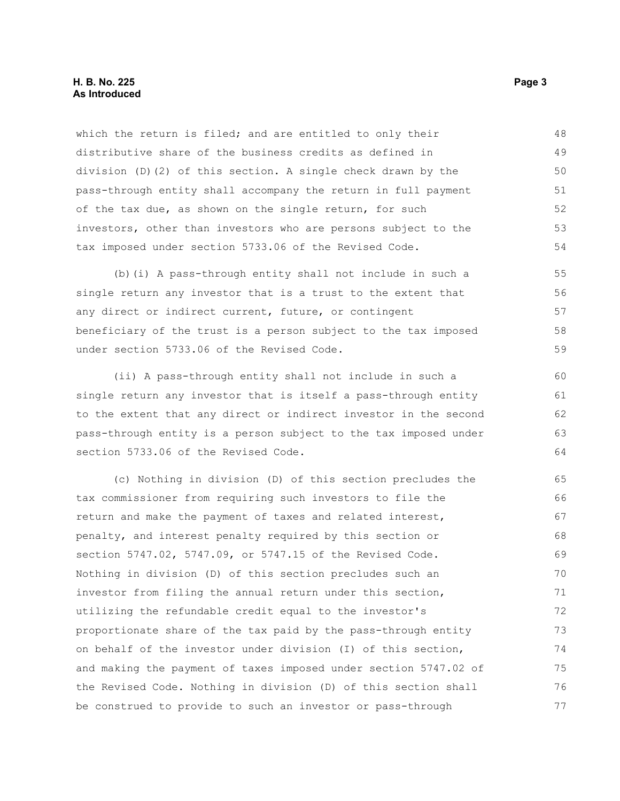#### **H. B. No. 225** Page 3 **As Introduced**

which the return is filed; and are entitled to only their distributive share of the business credits as defined in division (D)(2) of this section. A single check drawn by the pass-through entity shall accompany the return in full payment of the tax due, as shown on the single return, for such investors, other than investors who are persons subject to the tax imposed under section 5733.06 of the Revised Code. 48 49 50 51 52 53 54

(b)(i) A pass-through entity shall not include in such a single return any investor that is a trust to the extent that any direct or indirect current, future, or contingent beneficiary of the trust is a person subject to the tax imposed under section 5733.06 of the Revised Code. 55 56 57 58 59

(ii) A pass-through entity shall not include in such a single return any investor that is itself a pass-through entity to the extent that any direct or indirect investor in the second pass-through entity is a person subject to the tax imposed under section 5733.06 of the Revised Code.

(c) Nothing in division (D) of this section precludes the tax commissioner from requiring such investors to file the return and make the payment of taxes and related interest, penalty, and interest penalty required by this section or section 5747.02, 5747.09, or 5747.15 of the Revised Code. Nothing in division (D) of this section precludes such an investor from filing the annual return under this section, utilizing the refundable credit equal to the investor's proportionate share of the tax paid by the pass-through entity on behalf of the investor under division (I) of this section, and making the payment of taxes imposed under section 5747.02 of the Revised Code. Nothing in division (D) of this section shall be construed to provide to such an investor or pass-through 65 66 67 68 69 70 71 72 73 74 75 76 77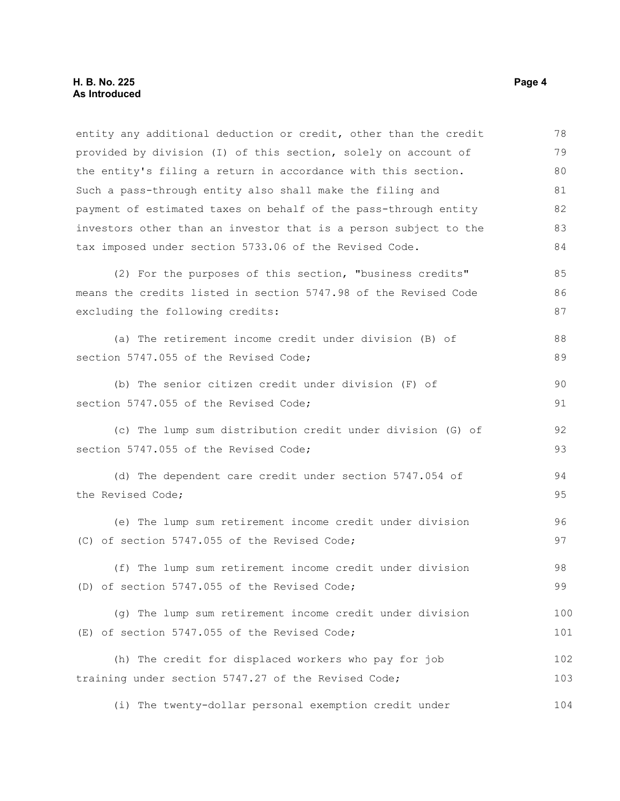entity any additional deduction or credit, other than the credit provided by division (I) of this section, solely on account of the entity's filing a return in accordance with this section. Such a pass-through entity also shall make the filing and payment of estimated taxes on behalf of the pass-through entity investors other than an investor that is a person subject to the tax imposed under section 5733.06 of the Revised Code. (2) For the purposes of this section, "business credits" means the credits listed in section 5747.98 of the Revised Code excluding the following credits: (a) The retirement income credit under division (B) of section 5747.055 of the Revised Code; (b) The senior citizen credit under division (F) of section 5747.055 of the Revised Code; (c) The lump sum distribution credit under division (G) of section 5747.055 of the Revised Code; (d) The dependent care credit under section 5747.054 of the Revised Code; (e) The lump sum retirement income credit under division (C) of section 5747.055 of the Revised Code; (f) The lump sum retirement income credit under division (D) of section 5747.055 of the Revised Code; (g) The lump sum retirement income credit under division (E) of section 5747.055 of the Revised Code; (h) The credit for displaced workers who pay for job training under section 5747.27 of the Revised Code; (i) The twenty-dollar personal exemption credit under 78 79 80 81 82 83 84 85 86 87 88 89 90 91 92 93 94 95 96 97 98 99 100 101 102 103 104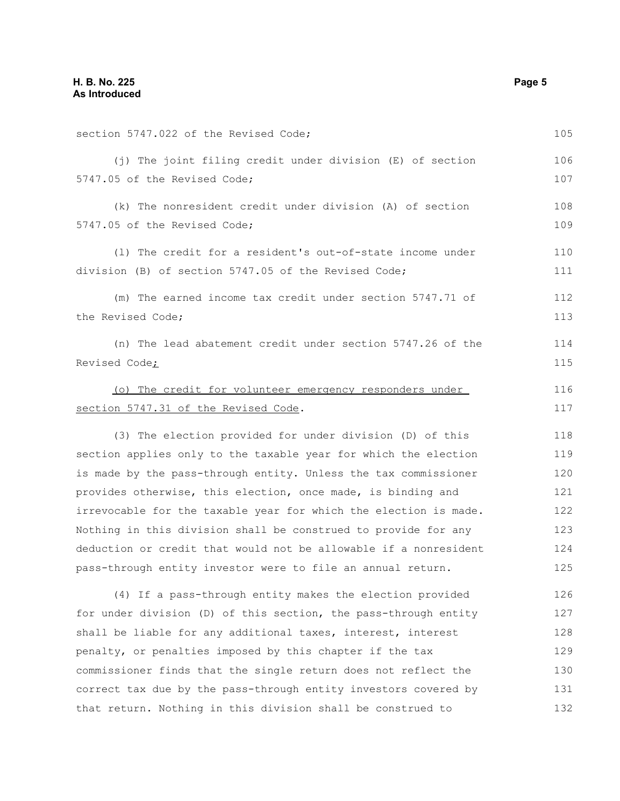| section 5747.022 of the Revised Code;                                                                                              | 105        |
|------------------------------------------------------------------------------------------------------------------------------------|------------|
| (j) The joint filing credit under division (E) of section<br>5747.05 of the Revised Code;                                          | 106<br>107 |
| (k) The nonresident credit under division (A) of section<br>5747.05 of the Revised Code;                                           | 108<br>109 |
| (1) The credit for a resident's out-of-state income under<br>division (B) of section 5747.05 of the Revised Code;                  | 110<br>111 |
| (m) The earned income tax credit under section 5747.71 of<br>the Revised Code;                                                     | 112<br>113 |
| (n) The lead abatement credit under section 5747.26 of the<br>Revised Code <sub>i</sub>                                            | 114<br>115 |
| (o) The credit for volunteer emergency responders under<br>section 5747.31 of the Revised Code.                                    | 116<br>117 |
| (3) The election provided for under division (D) of this                                                                           | 118        |
| section applies only to the taxable year for which the election<br>is made by the pass-through entity. Unless the tax commissioner | 119<br>120 |
| provides otherwise, this election, once made, is binding and                                                                       | 121        |
| irrevocable for the taxable year for which the election is made.                                                                   | 122        |
| Nothing in this division shall be construed to provide for any                                                                     | 123        |
| deduction or credit that would not be allowable if a nonresident                                                                   | 124        |
| pass-through entity investor were to file an annual return.                                                                        | 125        |
| (4) If a pass-through entity makes the election provided                                                                           | 126        |
| for under division (D) of this section, the pass-through entity                                                                    | 127        |
| shall be liable for any additional taxes, interest, interest                                                                       | 128        |
| penalty, or penalties imposed by this chapter if the tax                                                                           | 129        |
| commissioner finds that the single return does not reflect the                                                                     | 130        |
| correct tax due by the pass-through entity investors covered by                                                                    | 131        |
| that return. Nothing in this division shall be construed to                                                                        | 132        |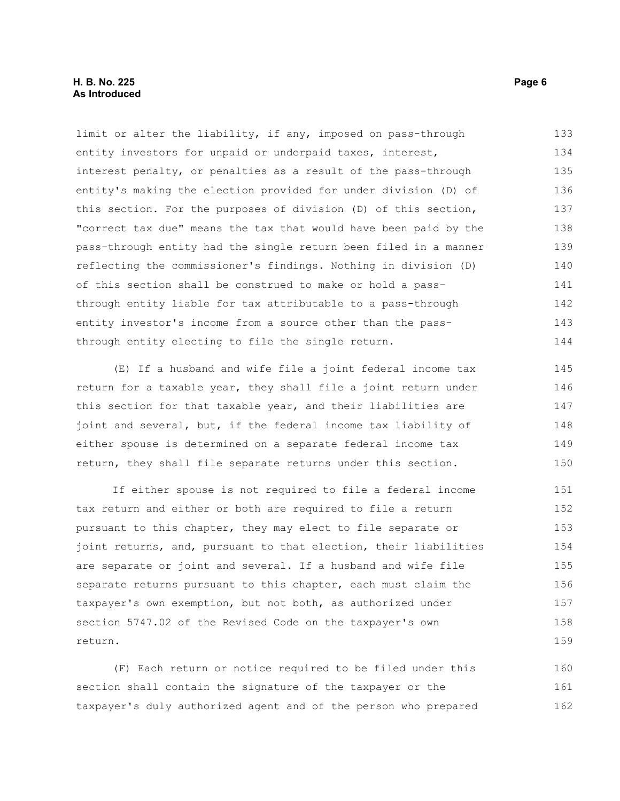### **H. B. No. 225** Page 6 **As Introduced**

limit or alter the liability, if any, imposed on pass-through entity investors for unpaid or underpaid taxes, interest, interest penalty, or penalties as a result of the pass-through entity's making the election provided for under division (D) of this section. For the purposes of division (D) of this section, "correct tax due" means the tax that would have been paid by the pass-through entity had the single return been filed in a manner reflecting the commissioner's findings. Nothing in division (D) of this section shall be construed to make or hold a passthrough entity liable for tax attributable to a pass-through entity investor's income from a source other than the passthrough entity electing to file the single return. 133 134 135 136 137 138 139 140 141 142 143 144

(E) If a husband and wife file a joint federal income tax return for a taxable year, they shall file a joint return under this section for that taxable year, and their liabilities are joint and several, but, if the federal income tax liability of either spouse is determined on a separate federal income tax return, they shall file separate returns under this section. 145 146 147 148 149 150

If either spouse is not required to file a federal income tax return and either or both are required to file a return pursuant to this chapter, they may elect to file separate or joint returns, and, pursuant to that election, their liabilities are separate or joint and several. If a husband and wife file separate returns pursuant to this chapter, each must claim the taxpayer's own exemption, but not both, as authorized under section 5747.02 of the Revised Code on the taxpayer's own return. 151 152 153 154 155 156 157 158 159

(F) Each return or notice required to be filed under this section shall contain the signature of the taxpayer or the taxpayer's duly authorized agent and of the person who prepared 160 161 162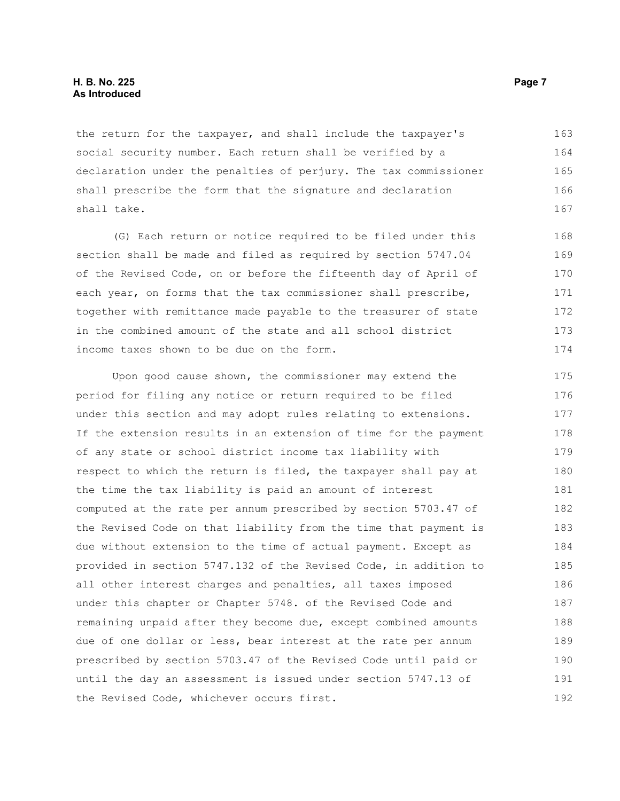the return for the taxpayer, and shall include the taxpayer's social security number. Each return shall be verified by a declaration under the penalties of perjury. The tax commissioner shall prescribe the form that the signature and declaration shall take. 163 164 165 166 167

(G) Each return or notice required to be filed under this section shall be made and filed as required by section 5747.04 of the Revised Code, on or before the fifteenth day of April of each year, on forms that the tax commissioner shall prescribe, together with remittance made payable to the treasurer of state in the combined amount of the state and all school district income taxes shown to be due on the form.

Upon good cause shown, the commissioner may extend the period for filing any notice or return required to be filed under this section and may adopt rules relating to extensions. If the extension results in an extension of time for the payment of any state or school district income tax liability with respect to which the return is filed, the taxpayer shall pay at the time the tax liability is paid an amount of interest computed at the rate per annum prescribed by section 5703.47 of the Revised Code on that liability from the time that payment is due without extension to the time of actual payment. Except as provided in section 5747.132 of the Revised Code, in addition to all other interest charges and penalties, all taxes imposed under this chapter or Chapter 5748. of the Revised Code and remaining unpaid after they become due, except combined amounts due of one dollar or less, bear interest at the rate per annum prescribed by section 5703.47 of the Revised Code until paid or until the day an assessment is issued under section 5747.13 of the Revised Code, whichever occurs first. 175 176 177 178 179 180 181 182 183 184 185 186 187 188 189 190 191 192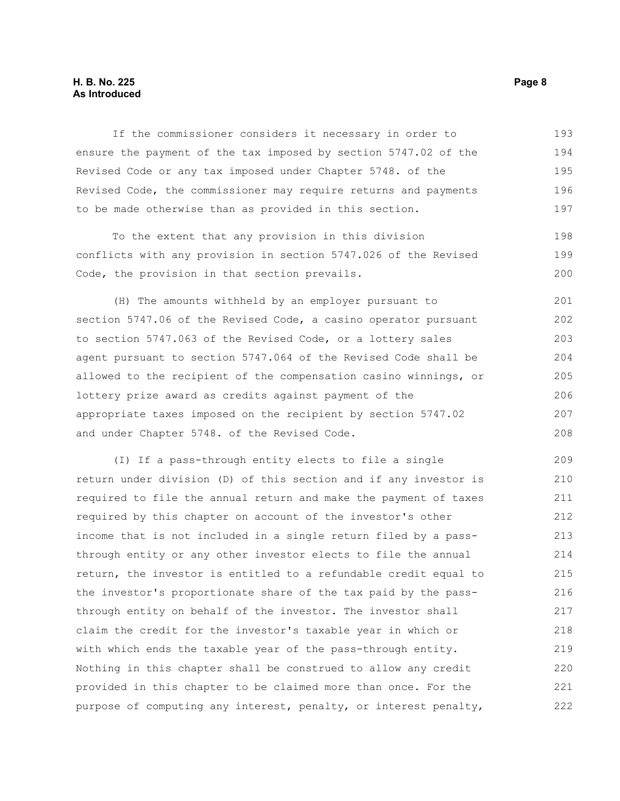### **H. B. No. 225 Page 8 As Introduced**

If the commissioner considers it necessary in order to ensure the payment of the tax imposed by section 5747.02 of the Revised Code or any tax imposed under Chapter 5748. of the Revised Code, the commissioner may require returns and payments to be made otherwise than as provided in this section. 193 194 195 196 197

To the extent that any provision in this division conflicts with any provision in section 5747.026 of the Revised Code, the provision in that section prevails. 198 199 200

(H) The amounts withheld by an employer pursuant to section 5747.06 of the Revised Code, a casino operator pursuant to section 5747.063 of the Revised Code, or a lottery sales agent pursuant to section 5747.064 of the Revised Code shall be allowed to the recipient of the compensation casino winnings, or lottery prize award as credits against payment of the appropriate taxes imposed on the recipient by section 5747.02 and under Chapter 5748. of the Revised Code. 201 202 203 204 205 206 207 208

(I) If a pass-through entity elects to file a single return under division (D) of this section and if any investor is required to file the annual return and make the payment of taxes required by this chapter on account of the investor's other income that is not included in a single return filed by a passthrough entity or any other investor elects to file the annual return, the investor is entitled to a refundable credit equal to the investor's proportionate share of the tax paid by the passthrough entity on behalf of the investor. The investor shall claim the credit for the investor's taxable year in which or with which ends the taxable year of the pass-through entity. Nothing in this chapter shall be construed to allow any credit provided in this chapter to be claimed more than once. For the purpose of computing any interest, penalty, or interest penalty, 209 210 211 212 213 214 215 216 217 218 219 220 221 222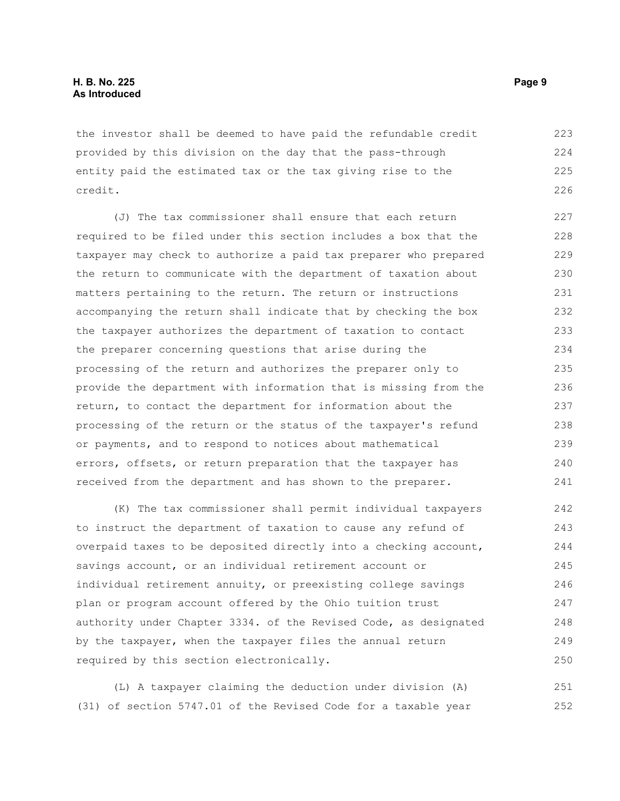the investor shall be deemed to have paid the refundable credit provided by this division on the day that the pass-through entity paid the estimated tax or the tax giving rise to the credit. 223 224 225 226

(J) The tax commissioner shall ensure that each return required to be filed under this section includes a box that the taxpayer may check to authorize a paid tax preparer who prepared the return to communicate with the department of taxation about matters pertaining to the return. The return or instructions accompanying the return shall indicate that by checking the box the taxpayer authorizes the department of taxation to contact the preparer concerning questions that arise during the processing of the return and authorizes the preparer only to provide the department with information that is missing from the return, to contact the department for information about the processing of the return or the status of the taxpayer's refund or payments, and to respond to notices about mathematical errors, offsets, or return preparation that the taxpayer has received from the department and has shown to the preparer. 227 228 229 230 231 232 233 234 235 236 237 238 239 240 241

(K) The tax commissioner shall permit individual taxpayers to instruct the department of taxation to cause any refund of overpaid taxes to be deposited directly into a checking account, savings account, or an individual retirement account or individual retirement annuity, or preexisting college savings plan or program account offered by the Ohio tuition trust authority under Chapter 3334. of the Revised Code, as designated by the taxpayer, when the taxpayer files the annual return required by this section electronically. 242 243 244 245 246 247 248 249 250

(L) A taxpayer claiming the deduction under division (A) (31) of section 5747.01 of the Revised Code for a taxable year 251 252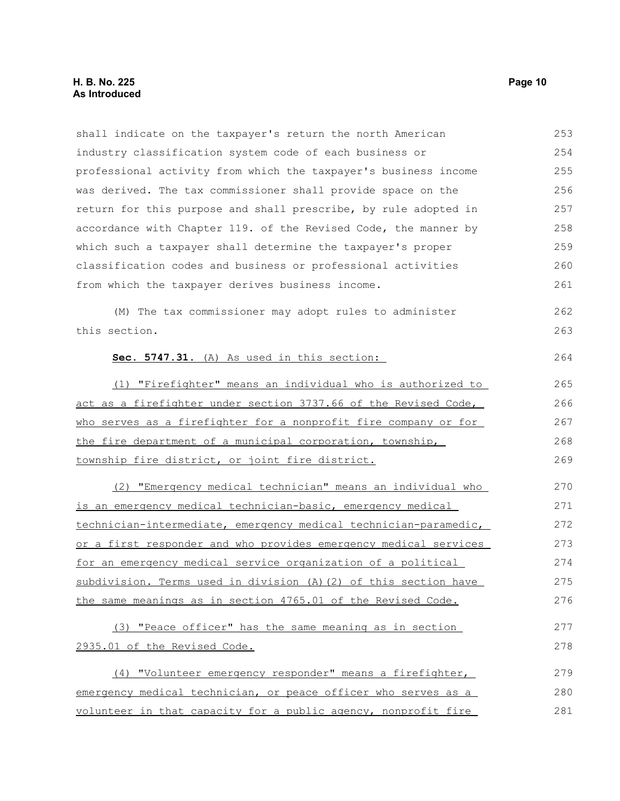#### **H. B. No. 225 Page 10 As Introduced**

shall indicate on the taxpayer's return the north American industry classification system code of each business or professional activity from which the taxpayer's business income was derived. The tax commissioner shall provide space on the return for this purpose and shall prescribe, by rule adopted in accordance with Chapter 119. of the Revised Code, the manner by which such a taxpayer shall determine the taxpayer's proper classification codes and business or professional activities from which the taxpayer derives business income. (M) The tax commissioner may adopt rules to administer this section. **Sec. 5747.31.** (A) As used in this section: (1) "Firefighter" means an individual who is authorized to act as a firefighter under section 3737.66 of the Revised Code, who serves as a firefighter for a nonprofit fire company or for the fire department of a municipal corporation, township, township fire district, or joint fire district. (2) "Emergency medical technician" means an individual who is an emergency medical technician-basic, emergency medical technician-intermediate, emergency medical technician-paramedic, or a first responder and who provides emergency medical services for an emergency medical service organization of a political subdivision. Terms used in division (A)(2) of this section have the same meanings as in section 4765.01 of the Revised Code. (3) "Peace officer" has the same meaning as in section 2935.01 of the Revised Code. (4) "Volunteer emergency responder" means a firefighter, emergency medical technician, or peace officer who serves as a volunteer in that capacity for a public agency, nonprofit fire 253 254 255 256 257 258 259 260 261 262 263 264 265 266 267 268 269 270 271 272 273 274 275 276 277 278 279 280 281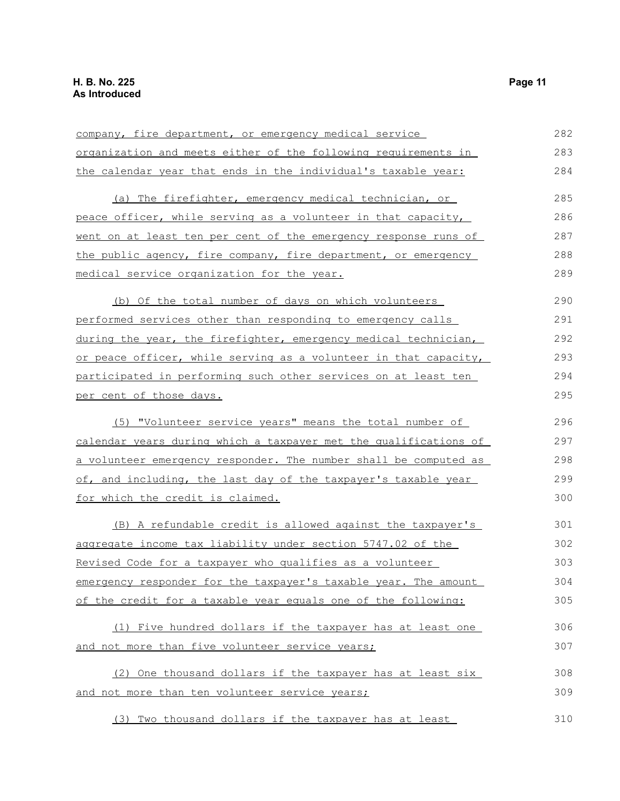| company, fire department, or emergency medical service           | 282 |
|------------------------------------------------------------------|-----|
| organization and meets either of the following requirements in   | 283 |
| the calendar year that ends in the individual's taxable year:    | 284 |
| (a) The firefighter, emergency medical technician, or            | 285 |
| peace officer, while serving as a volunteer in that capacity,    | 286 |
| went on at least ten per cent of the emergency response runs of  | 287 |
| the public agency, fire company, fire department, or emergency   | 288 |
| medical service organization for the year.                       | 289 |
| (b) Of the total number of days on which volunteers              | 290 |
| performed services other than responding to emergency calls      | 291 |
| during the year, the firefighter, emergency medical technician,  | 292 |
| or peace officer, while serving as a volunteer in that capacity, | 293 |
| participated in performing such other services on at least ten   | 294 |
| per cent of those days.                                          | 295 |
| (5) "Volunteer service years" means the total number of          | 296 |
| calendar years during which a taxpayer met the qualifications of | 297 |
| a volunteer emergency responder. The number shall be computed as | 298 |
| of, and including, the last day of the taxpayer's taxable year   | 299 |
| for which the credit is claimed.                                 | 300 |
| (B) A refundable credit is allowed against the taxpayer's        | 301 |
| aggregate income tax liability under section 5747.02 of the      | 302 |
| Revised Code for a taxpayer who qualifies as a volunteer         | 303 |
| emergency responder for the taxpayer's taxable year. The amount  | 304 |
| of the credit for a taxable year equals one of the following:    | 305 |
| (1) Five hundred dollars if the taxpayer has at least one        | 306 |
| and not more than five volunteer service years;                  | 307 |
| (2) One thousand dollars if the taxpayer has at least six        | 308 |
| and not more than ten volunteer service years;                   | 309 |
| (3) Two thousand dollars if the taxpayer has at least            | 310 |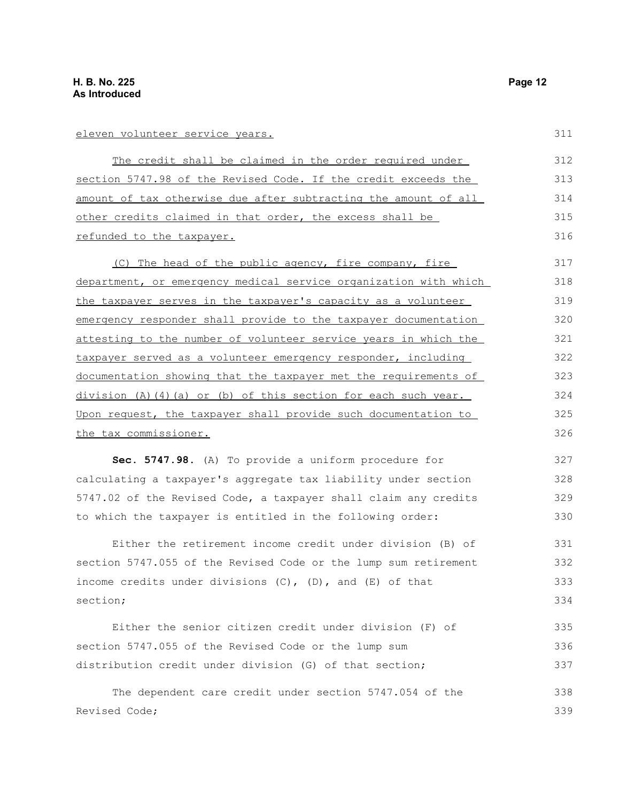#### eleven volunteer service years.

The credit shall be claimed in the order required under section 5747.98 of the Revised Code. If the credit exceeds the amount of tax otherwise due after subtracting the amount of all other credits claimed in that order, the excess shall be refunded to the taxpayer. 312 313 314 315 316

(C) The head of the public agency, fire company, fire department, or emergency medical service organization with which the taxpayer serves in the taxpayer's capacity as a volunteer emergency responder shall provide to the taxpayer documentation attesting to the number of volunteer service years in which the taxpayer served as a volunteer emergency responder, including documentation showing that the taxpayer met the requirements of division (A)(4)(a) or (b) of this section for each such year. Upon request, the taxpayer shall provide such documentation to the tax commissioner. 317 318 319 320 321 322 323 324 325 326

**Sec. 5747.98.** (A) To provide a uniform procedure for calculating a taxpayer's aggregate tax liability under section 5747.02 of the Revised Code, a taxpayer shall claim any credits to which the taxpayer is entitled in the following order: 327 328 329 330

Either the retirement income credit under division (B) of section 5747.055 of the Revised Code or the lump sum retirement income credits under divisions  $(C)$ ,  $(D)$ , and  $(E)$  of that section;

Either the senior citizen credit under division (F) of section 5747.055 of the Revised Code or the lump sum distribution credit under division (G) of that section; 335 336 337

The dependent care credit under section 5747.054 of the Revised Code; 338 339

311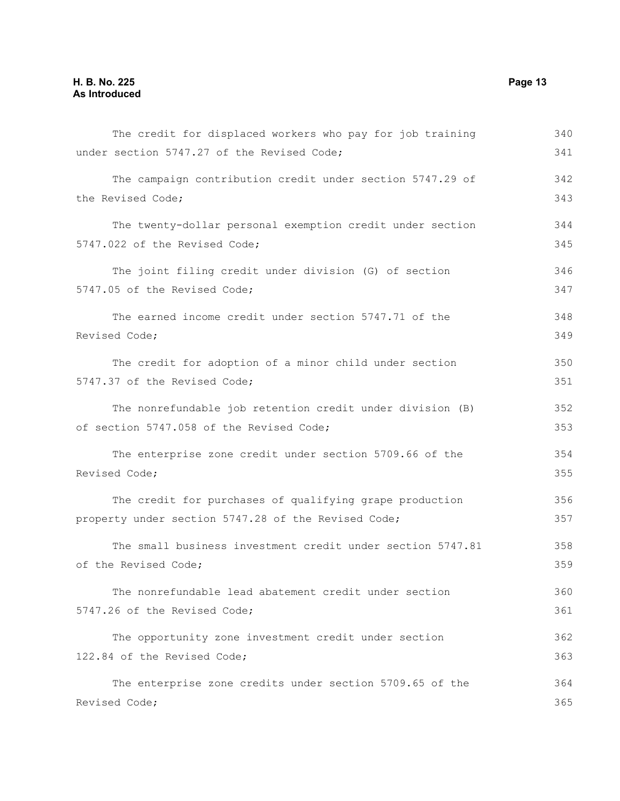| The credit for displaced workers who pay for job training  | 340 |
|------------------------------------------------------------|-----|
| under section 5747.27 of the Revised Code;                 | 341 |
| The campaign contribution credit under section 5747.29 of  | 342 |
| the Revised Code;                                          | 343 |
| The twenty-dollar personal exemption credit under section  | 344 |
| 5747.022 of the Revised Code;                              | 345 |
| The joint filing credit under division (G) of section      | 346 |
| 5747.05 of the Revised Code;                               | 347 |
| The earned income credit under section 5747.71 of the      | 348 |
| Revised Code;                                              | 349 |
| The credit for adoption of a minor child under section     | 350 |
| 5747.37 of the Revised Code;                               | 351 |
| The nonrefundable job retention credit under division (B)  | 352 |
| of section 5747.058 of the Revised Code;                   | 353 |
| The enterprise zone credit under section 5709.66 of the    | 354 |
| Revised Code;                                              |     |
| The credit for purchases of qualifying grape production    | 356 |
| property under section 5747.28 of the Revised Code;        | 357 |
| The small business investment credit under section 5747.81 | 358 |
| of the Revised Code;                                       | 359 |
| The nonrefundable lead abatement credit under section      | 360 |
| 5747.26 of the Revised Code;                               | 361 |
| The opportunity zone investment credit under section       | 362 |
| 122.84 of the Revised Code;                                | 363 |
| The enterprise zone credits under section 5709.65 of the   | 364 |
| Revised Code;                                              | 365 |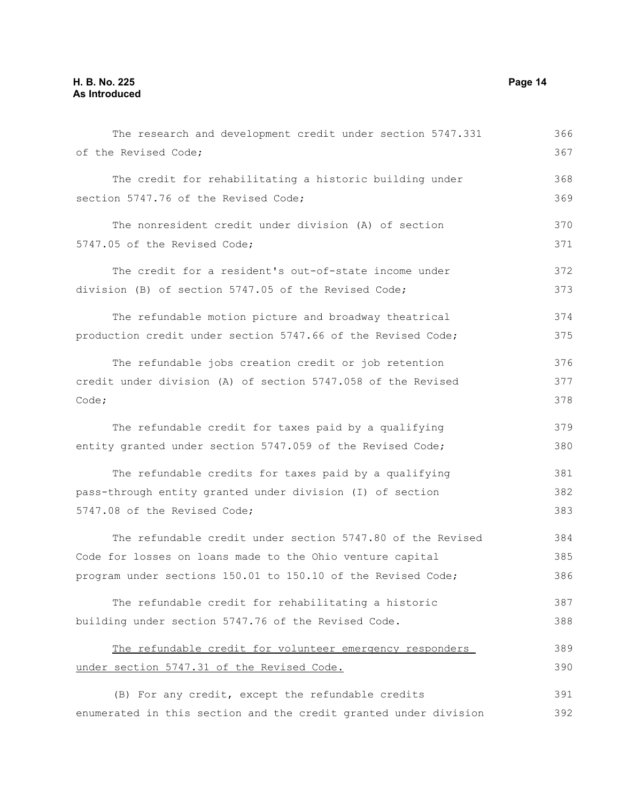| The research and development credit under section 5747.331       | 366 |
|------------------------------------------------------------------|-----|
| of the Revised Code;                                             | 367 |
| The credit for rehabilitating a historic building under          | 368 |
| section 5747.76 of the Revised Code;                             | 369 |
| The nonresident credit under division (A) of section             | 370 |
| 5747.05 of the Revised Code;                                     | 371 |
| The credit for a resident's out-of-state income under            | 372 |
| division (B) of section 5747.05 of the Revised Code;             | 373 |
| The refundable motion picture and broadway theatrical            | 374 |
| production credit under section 5747.66 of the Revised Code;     | 375 |
| The refundable jobs creation credit or job retention             | 376 |
| credit under division (A) of section 5747.058 of the Revised     |     |
| Code;                                                            | 378 |
| The refundable credit for taxes paid by a qualifying             | 379 |
| entity granted under section 5747.059 of the Revised Code;       | 380 |
| The refundable credits for taxes paid by a qualifying            | 381 |
| pass-through entity granted under division (I) of section        | 382 |
| 5747.08 of the Revised Code;                                     | 383 |
| The refundable credit under section 5747.80 of the Revised       | 384 |
| Code for losses on loans made to the Ohio venture capital        | 385 |
| program under sections 150.01 to 150.10 of the Revised Code;     | 386 |
| The refundable credit for rehabilitating a historic              | 387 |
| building under section 5747.76 of the Revised Code.              | 388 |
| The refundable credit for volunteer emergency responders         | 389 |
| under section 5747.31 of the Revised Code.                       | 390 |
| (B) For any credit, except the refundable credits                | 391 |
| enumerated in this section and the credit granted under division | 392 |